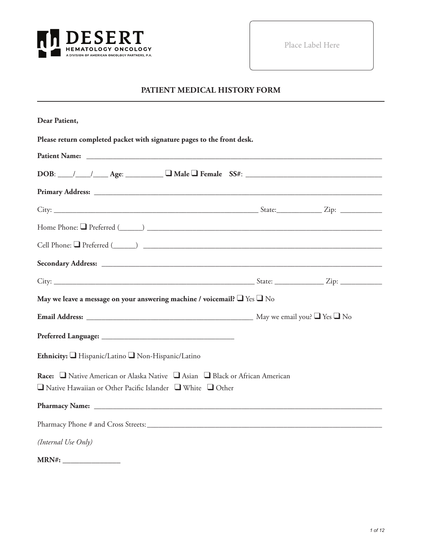

Place Label Here

#### **PATIENT MEDICAL HISTORY FORM**

| Dear Patient,                                                                                                                                              |  |
|------------------------------------------------------------------------------------------------------------------------------------------------------------|--|
| Please return completed packet with signature pages to the front desk.                                                                                     |  |
|                                                                                                                                                            |  |
| $DOB:$ $\_\_\_\_\_\_\_\_\_\_\_\_\_\_\_\_$ Age: $\_\_\_\_\_\_\_\_\_\_\_\_\_\_\_\_\_\_$ Female $SS#:$ $\_\_\_\_\_\_\_\_\_\_\_\_\_\_\_\_\_\_\_\_\_\_$         |  |
|                                                                                                                                                            |  |
|                                                                                                                                                            |  |
|                                                                                                                                                            |  |
|                                                                                                                                                            |  |
|                                                                                                                                                            |  |
|                                                                                                                                                            |  |
| May we leave a message on your answering machine / voicemail? $\Box$ Yes $\Box$ No                                                                         |  |
|                                                                                                                                                            |  |
|                                                                                                                                                            |  |
| Ethnicity: Hispanic/Latino Non-Hispanic/Latino                                                                                                             |  |
| Race: □ Native American or Alaska Native □ Asian □ Black or African American<br>$\Box$ Native Hawaiian or Other Pacific Islander $\Box$ White $\Box$ Other |  |
|                                                                                                                                                            |  |
|                                                                                                                                                            |  |
| (Internal Use Only)                                                                                                                                        |  |
|                                                                                                                                                            |  |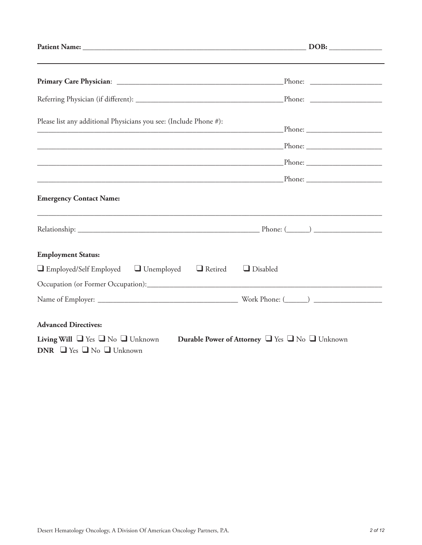| Please list any additional Physicians you see: (Include Phone #):<br><u> 1989 - Johann John Stone, mars eta bainar eta industrial eta industrial eta industrial eta industrial eta in</u> |  |
|-------------------------------------------------------------------------------------------------------------------------------------------------------------------------------------------|--|
|                                                                                                                                                                                           |  |
|                                                                                                                                                                                           |  |
|                                                                                                                                                                                           |  |
| <b>Emergency Contact Name:</b>                                                                                                                                                            |  |
|                                                                                                                                                                                           |  |
| <b>Employment Status:</b>                                                                                                                                                                 |  |
| $\Box$ Employed/Self Employed $\Box$ Unemployed $\Box$ Retired<br>$\Box$ Disabled                                                                                                         |  |
|                                                                                                                                                                                           |  |
|                                                                                                                                                                                           |  |
| <b>Advanced Directives:</b>                                                                                                                                                               |  |
| Living Will $\Box$ Yes $\Box$ No $\Box$ Unknown<br>Durable Power of Attorney U Yes U No Unknown<br>DNR $\Box$ Yes $\Box$ No $\Box$ Unknown                                                |  |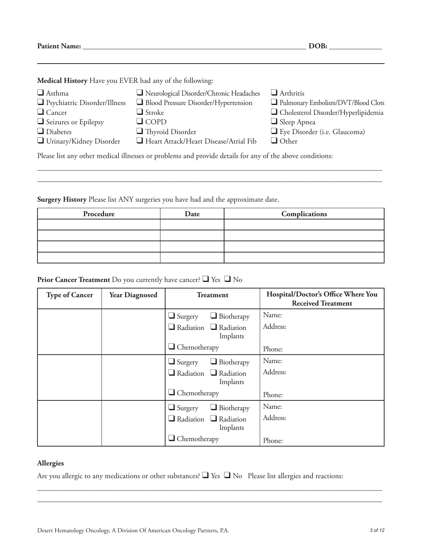**Patient Name: \_\_\_\_\_\_\_\_\_\_\_\_\_\_\_\_\_\_\_\_\_\_\_\_\_\_\_\_\_\_\_\_\_\_\_\_\_\_\_\_\_\_\_\_\_\_\_\_\_\_\_\_\_\_\_\_\_\_\_ DOB: \_\_\_\_\_\_\_\_\_\_\_\_\_\_**

**Medical History** Have you EVER had any of the following:

| $\Box$ Asthma                                                                                            | Neurological Disorder/Chronic Headaches | $\Box$ Arthritis                      |  |
|----------------------------------------------------------------------------------------------------------|-----------------------------------------|---------------------------------------|--|
| $\Box$ Psychiatric Disorder/Illness                                                                      | Blood Pressure Disorder/Hypertension    | Pulmonary Embolism/DVT/Blood Clots    |  |
| $\Box$ Cancer                                                                                            | $\Box$ Stroke                           | □ Cholesterol Disorder/Hyperlipidemia |  |
| $\Box$ Seizures or Epilepsy                                                                              | $\Box$ COPD                             | $\Box$ Sleep Apnea                    |  |
| $\Box$ Diabetes                                                                                          | $\Box$ Thyroid Disorder                 | Eye Disorder (i.e. Glaucoma)          |  |
| $\Box$ Urinary/Kidney Disorder                                                                           | Heart Attack/Heart Disease/Atrial Fib   | $\Box$ Other                          |  |
| Please list any other medical illnesses or problems and provide details for any of the above conditions: |                                         |                                       |  |

\_\_\_\_\_\_\_\_\_\_\_\_\_\_\_\_\_\_\_\_\_\_\_\_\_\_\_\_\_\_\_\_\_\_\_\_\_\_\_\_\_\_\_\_\_\_\_\_\_\_\_\_\_\_\_\_\_\_\_\_\_\_\_\_\_\_\_\_\_\_\_\_\_\_\_\_\_\_\_\_\_\_\_\_\_\_\_\_\_\_\_ \_\_\_\_\_\_\_\_\_\_\_\_\_\_\_\_\_\_\_\_\_\_\_\_\_\_\_\_\_\_\_\_\_\_\_\_\_\_\_\_\_\_\_\_\_\_\_\_\_\_\_\_\_\_\_\_\_\_\_\_\_\_\_\_\_\_\_\_\_\_\_\_\_\_\_\_\_\_\_\_\_\_\_\_\_\_\_\_\_\_\_

**Surgery History** Please list ANY surgeries you have had and the approximate date.

| Procedure | Date | Complications |
|-----------|------|---------------|
|           |      |               |
|           |      |               |
|           |      |               |
|           |      |               |

#### **Prior Cancer Treatment** Do you currently have cancer? ❑ Yes ❑ No

| <b>Type of Cancer</b> | <b>Year Diagnosed</b> | <b>Treatment</b>                              | Hospital/Doctor's Office Where You<br><b>Received Treatment</b> |
|-----------------------|-----------------------|-----------------------------------------------|-----------------------------------------------------------------|
|                       |                       | $\Box$ Biotherapy<br>$\Box$ Surgery           | Name:                                                           |
|                       |                       | $\Box$ Radiation $\Box$ Radiation<br>Implants | Address:                                                        |
|                       |                       | $\Box$ Chemotherapy                           | Phone:                                                          |
|                       |                       | $\Box$ Biotherapy<br>$\Box$ Surgery           | Name:                                                           |
|                       |                       | $\Box$ Radiation $\Box$ Radiation<br>Implants | Address:                                                        |
|                       |                       | $\Box$ Chemotherapy                           | Phone:                                                          |
|                       |                       | $\Box$ Biotherapy<br>$\Box$ Surgery           | Name:                                                           |
|                       |                       | $\Box$ Radiation $\Box$ Radiation<br>Implants | Address:                                                        |
|                       |                       | $\Box$ Chemotherapy                           | Phone:                                                          |

#### **Allergies**

Are you allergic to any medications or other substances? ❑ Yes ❑ No Please list allergies and reactions:

\_\_\_\_\_\_\_\_\_\_\_\_\_\_\_\_\_\_\_\_\_\_\_\_\_\_\_\_\_\_\_\_\_\_\_\_\_\_\_\_\_\_\_\_\_\_\_\_\_\_\_\_\_\_\_\_\_\_\_\_\_\_\_\_\_\_\_\_\_\_\_\_\_\_\_\_\_\_\_\_\_\_\_\_\_\_\_\_\_\_\_ \_\_\_\_\_\_\_\_\_\_\_\_\_\_\_\_\_\_\_\_\_\_\_\_\_\_\_\_\_\_\_\_\_\_\_\_\_\_\_\_\_\_\_\_\_\_\_\_\_\_\_\_\_\_\_\_\_\_\_\_\_\_\_\_\_\_\_\_\_\_\_\_\_\_\_\_\_\_\_\_\_\_\_\_\_\_\_\_\_\_\_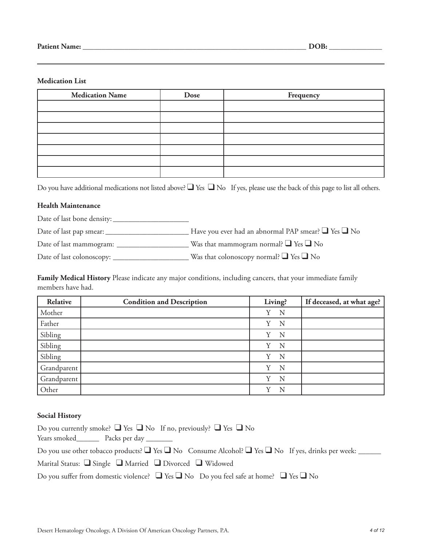#### **Medication List**

| <b>Medication Name</b> | Dose | Frequency |
|------------------------|------|-----------|
|                        |      |           |
|                        |      |           |
|                        |      |           |
|                        |      |           |
|                        |      |           |
|                        |      |           |
|                        |      |           |

Do you have additional medications not listed above? ■ Yes ■ No If yes, please use the back of this page to list all others.

#### **Health Maintenance**

Date of last bone density: \_\_\_\_\_\_\_\_\_\_\_\_\_\_\_\_\_\_\_\_

Date of last pap smear: \_\_\_\_\_\_\_\_\_\_\_\_\_\_\_\_\_\_\_\_\_\_ Have you ever had an abnormal PAP smear? ❑ Yes ❑ No

Date of last mammogram: \_\_\_\_\_\_\_\_\_\_\_\_\_\_\_\_\_\_\_ Was that mammogram normal? ❑ Yes ❑ No

Date of last colonoscopy: \_\_\_\_\_\_\_\_\_\_\_\_\_\_\_\_\_\_\_\_ Was that colonoscopy normal? ❑ Yes ❑ No

**Family Medical History** Please indicate any major conditions, including cancers, that your immediate family members have had.

| Relative    | <b>Condition and Description</b> | Living? | If deceased, at what age? |
|-------------|----------------------------------|---------|---------------------------|
| Mother      |                                  | N<br>Y  |                           |
| Father      |                                  | Y<br>N  |                           |
| Sibling     |                                  | Y<br>N  |                           |
| Sibling     |                                  | Y<br>N  |                           |
| Sibling     |                                  | N<br>Y  |                           |
| Grandparent |                                  | N<br>Y  |                           |
| Grandparent |                                  | N<br>Y  |                           |
| Other       |                                  | v<br>N  |                           |

#### **Social History**

| Do you currently smoke? $\Box$ Yes $\Box$ No If no, previously? $\Box$ Yes $\Box$ No                                   |
|------------------------------------------------------------------------------------------------------------------------|
| Years smoked Packs per day                                                                                             |
| Do you use other tobacco products? $\Box$ Yes $\Box$ No Consume Alcohol? $\Box$ Yes $\Box$ No If yes, drinks per week: |
| Marital Status: $\Box$ Single $\Box$ Married $\Box$ Divorced $\Box$ Widowed                                            |
| Do you suffer from domestic violence? $\Box$ Yes $\Box$ No Do you feel safe at home? $\Box$ Yes $\Box$ No              |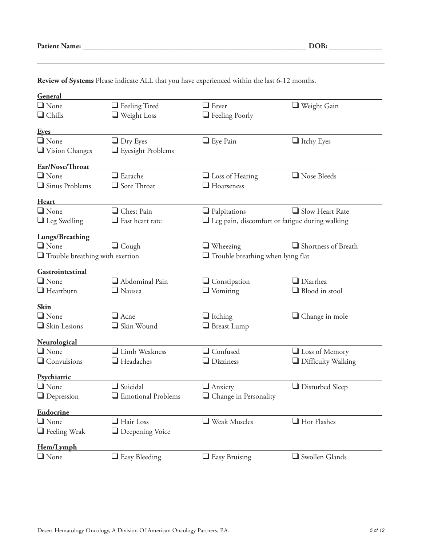| General                                |                                            |                                                          |                           |
|----------------------------------------|--------------------------------------------|----------------------------------------------------------|---------------------------|
| $\Box$ None                            | $\Box$ Feeling Tired                       | $\Box$ Fever                                             | $\Box$ Weight Gain        |
| $\Box$ Chills                          | $\Box$ Weight Loss                         |                                                          |                           |
|                                        |                                            | $\Box$ Feeling Poorly                                    |                           |
| <u>Eyes</u>                            |                                            |                                                          |                           |
| $\Box$ None                            | $\Box$ Dry Eyes                            | $\Box$ Eye Pain                                          | $\Box$ Itchy Eyes         |
| Vision Changes                         | $\Box$ Eyesight Problems                   |                                                          |                           |
| Ear/Nose/Throat                        |                                            |                                                          |                           |
| $\Box$ None                            | $\Box$ Earache                             | $\Box$ Loss of Hearing                                   | Nose Bleeds               |
| $\Box$ Sinus Problems                  | $\Box$ Sore Throat                         | $\Box$ Hoarseness                                        |                           |
| <b>Heart</b>                           |                                            |                                                          |                           |
| $\Box$ None                            | Chest Pain                                 | $\Box$ Palpitations                                      | $\Box$ Slow Heart Rate    |
| $\Box$ Leg Swelling                    | $\Box$ Fast heart rate                     | $\square$ Leg pain, discomfort or fatigue during walking |                           |
| <b>Lungs/Breathing</b>                 |                                            |                                                          |                           |
| $\Box$ None                            | $\Box$ Cough                               | $\Box$ Wheezing                                          | Shortness of Breath       |
| $\Box$ Trouble breathing with exertion |                                            | $\Box$ Trouble breathing when lying flat                 |                           |
| Gastrointestinal                       |                                            |                                                          |                           |
| $\Box$ None                            | $\Box$ Abdominal Pain                      | $\Box$ Constipation                                      | $\Box$ Diarrhea           |
| $\Box$ Heartburn                       | $\Box$ Nausea                              | $\Box$ Vomiting                                          | $\Box$ Blood in stool     |
|                                        |                                            |                                                          |                           |
| <b>Skin</b>                            |                                            |                                                          |                           |
| $\Box$ None                            | $\Box$ Acne                                | $\Box$ Itching                                           | Change in mole            |
| $\Box$ Skin Lesions                    | Skin Wound                                 | Breast Lump                                              |                           |
| <b>Neurological</b>                    |                                            |                                                          |                           |
| $\Box$ None                            | Limb Weakness                              | $\Box$ Confused                                          | $\Box$ Loss of Memory     |
| $\Box$ Convulsions                     | $\Box$ Headaches                           | $\Box$ Dizziness                                         | $\Box$ Difficulty Walking |
| Psychiatric                            |                                            |                                                          |                           |
| $\Box$ None                            | $\Box$ Suicidal                            | $\Box$ Anxiety                                           | $\Box$ Disturbed Sleep    |
| $\Box$ Depression                      | $\hfill\blacksquare$<br>Emotional Problems | $\Box$ Change in Personality                             |                           |
| <b>Endocrine</b>                       |                                            |                                                          |                           |
| $\Box$ None                            | $\Box$ Hair Loss                           | $\Box$ Weak Muscles                                      | Hot Flashes               |
| $\Box$ Feeling Weak                    | $\Box$ Deepening Voice                     |                                                          |                           |
| Hem/Lymph                              |                                            |                                                          |                           |
| $\Box$ None                            | $\Box$ Easy Bleeding                       | $\Box$ Easy Bruising                                     | Swollen Glands            |

**Review of Systems** Please indicate ALL that you have experienced within the last 6-12 months.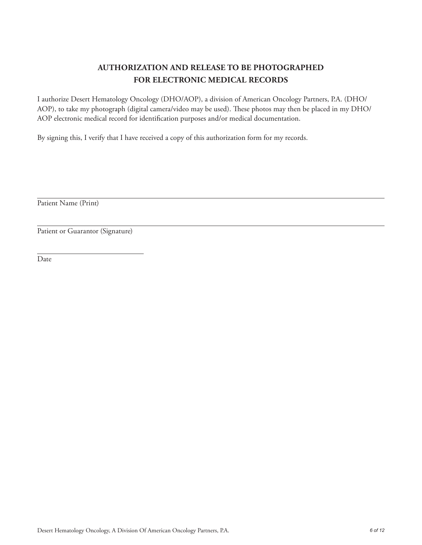### **AUTHORIZATION AND RELEASE TO BE PHOTOGRAPHED FOR ELECTRONIC MEDICAL RECORDS**

I authorize Desert Hematology Oncology (DHO/AOP), a division of American Oncology Partners, P.A. (DHO/ AOP), to take my photograph (digital camera/video may be used). These photos may then be placed in my DHO/ AOP electronic medical record for identification purposes and/or medical documentation.

By signing this, I verify that I have received a copy of this authorization form for my records.

Patient Name (Print)

Patient or Guarantor (Signature)

Date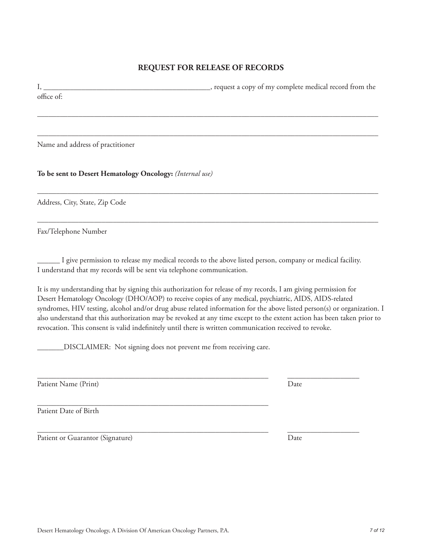#### **REQUEST FOR RELEASE OF RECORDS**

I, \_\_\_\_\_\_\_\_\_\_\_\_\_\_\_\_\_\_\_\_\_\_\_\_\_\_\_\_\_\_\_\_\_\_\_\_\_\_\_\_\_\_\_\_, request a copy of my complete medical record from the office of:

––––––––––––––––––––––––––––––––––––––––––––––––––––––––––––––––––––––––––––––––––––––––––

––––––––––––––––––––––––––––––––––––––––––––––––––––––––––––––––––––––––––––––––––––––––––

––––––––––––––––––––––––––––––––––––––––––––––––––––––––––––––––––––––––––––––––––––––––––

––––––––––––––––––––––––––––––––––––––––––––––––––––––––––––––––––––––––––––––––––––––––––

Name and address of practitioner

**To be sent to Desert Hematology Oncology:** *(Internal use)*

Address, City, State, Zip Code

Fax/Telephone Number

\_\_\_\_\_\_ I give permission to release my medical records to the above listed person, company or medical facility. I understand that my records will be sent via telephone communication.

\_\_\_\_\_\_\_\_\_\_\_\_\_\_\_\_\_\_\_\_\_\_\_\_\_\_\_\_\_\_\_\_\_\_\_\_\_\_\_\_\_\_\_\_\_\_\_\_\_\_\_\_\_\_\_\_\_\_\_\_\_ \_\_\_\_\_\_\_\_\_\_\_\_\_\_\_\_\_\_\_

It is my understanding that by signing this authorization for release of my records, I am giving permission for Desert Hematology Oncology (DHO/AOP) to receive copies of any medical, psychiatric, AIDS, AIDS-related syndromes, HIV testing, alcohol and/or drug abuse related information for the above listed person(s) or organization. I also understand that this authorization may be revoked at any time except to the extent action has been taken prior to revocation. This consent is valid indefinitely until there is written communication received to revoke.

\_\_\_\_\_\_\_DISCLAIMER: Not signing does not prevent me from receiving care.

Patient Name (Print) Date

\_\_\_\_\_\_\_\_\_\_\_\_\_\_\_\_\_\_\_\_\_\_\_\_\_\_\_\_\_\_\_\_\_\_\_\_\_\_\_\_\_\_\_\_\_\_\_\_\_\_\_\_\_\_\_\_\_\_\_\_\_ Patient Date of Birth

Patient or Guarantor (Signature) Date

\_\_\_\_\_\_\_\_\_\_\_\_\_\_\_\_\_\_\_\_\_\_\_\_\_\_\_\_\_\_\_\_\_\_\_\_\_\_\_\_\_\_\_\_\_\_\_\_\_\_\_\_\_\_\_\_\_\_\_\_\_ \_\_\_\_\_\_\_\_\_\_\_\_\_\_\_\_\_\_\_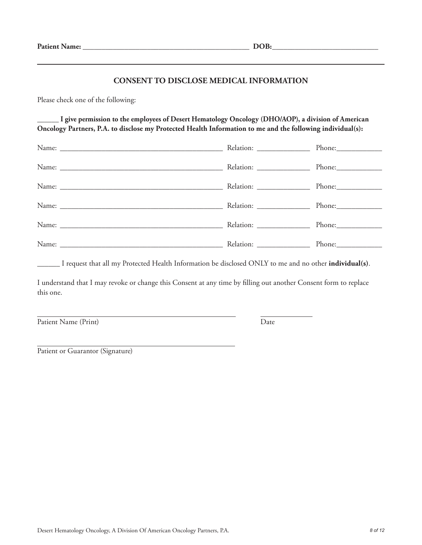#### **CONSENT TO DISCLOSE MEDICAL INFORMATION**

Please check one of the following:

**\_\_\_\_\_\_ I give permission to the employees of Desert Hematology Oncology (DHO/AOP), a division of American Oncology Partners, P.A. to disclose my Protected Health Information to me and the following individual(s):**

| Relation: ___________________ | Phone: |
|-------------------------------|--------|
|                               |        |
| Relation: ________________    |        |
|                               |        |
|                               | Phone: |

\_\_\_\_\_\_ I request that all my Protected Health Information be disclosed ONLY to me and no other **individual(s)**.

I understand that I may revoke or change this Consent at any time by filling out another Consent form to replace this one.

Patient Name (Print) Date

Patient or Guarantor (Signature)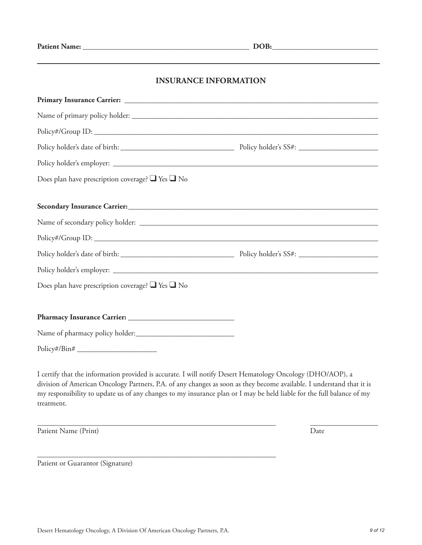#### **INSURANCE INFORMATION**

| Policy#/Group ID:                                          |  |
|------------------------------------------------------------|--|
|                                                            |  |
|                                                            |  |
| Does plan have prescription coverage? $\Box$ Yes $\Box$ No |  |
|                                                            |  |
|                                                            |  |
|                                                            |  |
|                                                            |  |
|                                                            |  |
|                                                            |  |
| Does plan have prescription coverage? $\Box$ Yes $\Box$ No |  |
|                                                            |  |
|                                                            |  |
|                                                            |  |
| $Policy\#/Bin\#$                                           |  |
|                                                            |  |

I certify that the information provided is accurate. I will notify Desert Hematology Oncology (DHO/AOP), a division of American Oncology Partners, P.A. of any changes as soon as they become available. I understand that it is my responsibility to update us of any changes to my insurance plan or I may be held liable for the full balance of my treatment.

\_\_\_\_\_\_\_\_\_\_\_\_\_\_\_\_\_\_\_\_\_\_\_\_\_\_\_\_\_\_\_\_\_\_\_\_\_\_\_\_\_\_\_\_\_\_\_\_\_\_\_\_\_\_\_\_\_\_\_\_\_\_\_ \_\_\_\_\_\_\_\_\_\_\_\_\_\_\_\_\_\_

Patient Name (Print) Date

Patient or Guarantor (Signature)

\_\_\_\_\_\_\_\_\_\_\_\_\_\_\_\_\_\_\_\_\_\_\_\_\_\_\_\_\_\_\_\_\_\_\_\_\_\_\_\_\_\_\_\_\_\_\_\_\_\_\_\_\_\_\_\_\_\_\_\_\_\_\_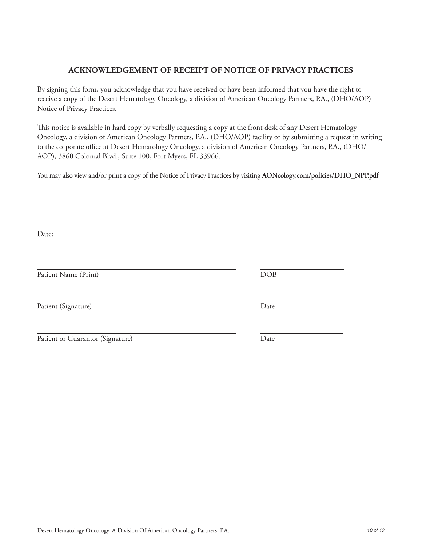Patient Name (Print) DOB

## Desert Hematology Oncology, A Division Of American Oncology Partners, P.A. *10 of 12*

#### **ACKNOWLEDGEMENT OF RECEIPT OF NOTICE OF PRIVACY PRACTICES**

By signing this form, you acknowledge that you have received or have been informed that you have the right to receive a copy of the Desert Hematology Oncology, a division of American Oncology Partners, P.A., (DHO/AOP) Notice of Privacy Practices.

This notice is available in hard copy by verbally requesting a copy at the front desk of any Desert Hematology Oncology, a division of American Oncology Partners, P.A., (DHO/AOP) facility or by submitting a request in writing to the corporate office at Desert Hematology Oncology, a division of American Oncology Partners, P.A., (DHO/ AOP), 3860 Colonial Blvd., Suite 100, Fort Myers, FL 33966.

You may also view and/or print a copy of the Notice of Privacy Practices by visiting **AONcology.com/policies/DHO\_NPP.pdf**

Date:

Patient (Signature) Date

| Patient or Guarantor (Signature) | Date |
|----------------------------------|------|
|                                  |      |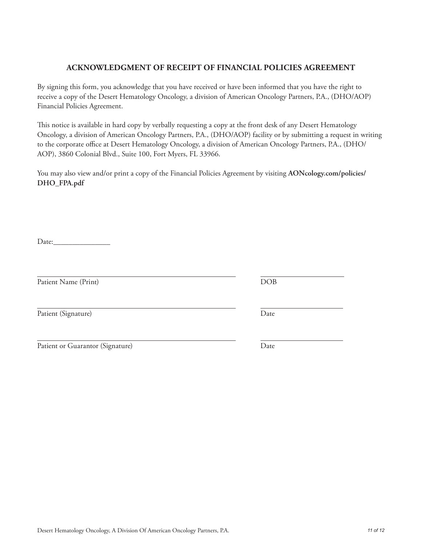# Desert Hematology Oncology, A Division Of American Oncology Partners, P.A. *11 of 12*

#### **ACKNOWLEDGMENT OF RECEIPT OF FINANCIAL POLICIES AGREEMENT**

By signing this form, you acknowledge that you have received or have been informed that you have the right to receive a copy of the Desert Hematology Oncology, a division of American Oncology Partners, P.A., (DHO/AOP) Financial Policies Agreement.

This notice is available in hard copy by verbally requesting a copy at the front desk of any Desert Hematology Oncology, a division of American Oncology Partners, P.A., (DHO/AOP) facility or by submitting a request in writing to the corporate office at Desert Hematology Oncology, a division of American Oncology Partners, P.A., (DHO/ AOP), 3860 Colonial Blvd., Suite 100, Fort Myers, FL 33966.

You may also view and/or print a copy of the Financial Policies Agreement by visiting **AONcology.com/policies/ DHO\_FPA.pdf**

Date:\_\_\_\_\_\_\_\_\_\_\_\_\_\_\_

Patient Name (Print) DOB

Patient (Signature) Date

Patient or Guarantor (Signature) Date